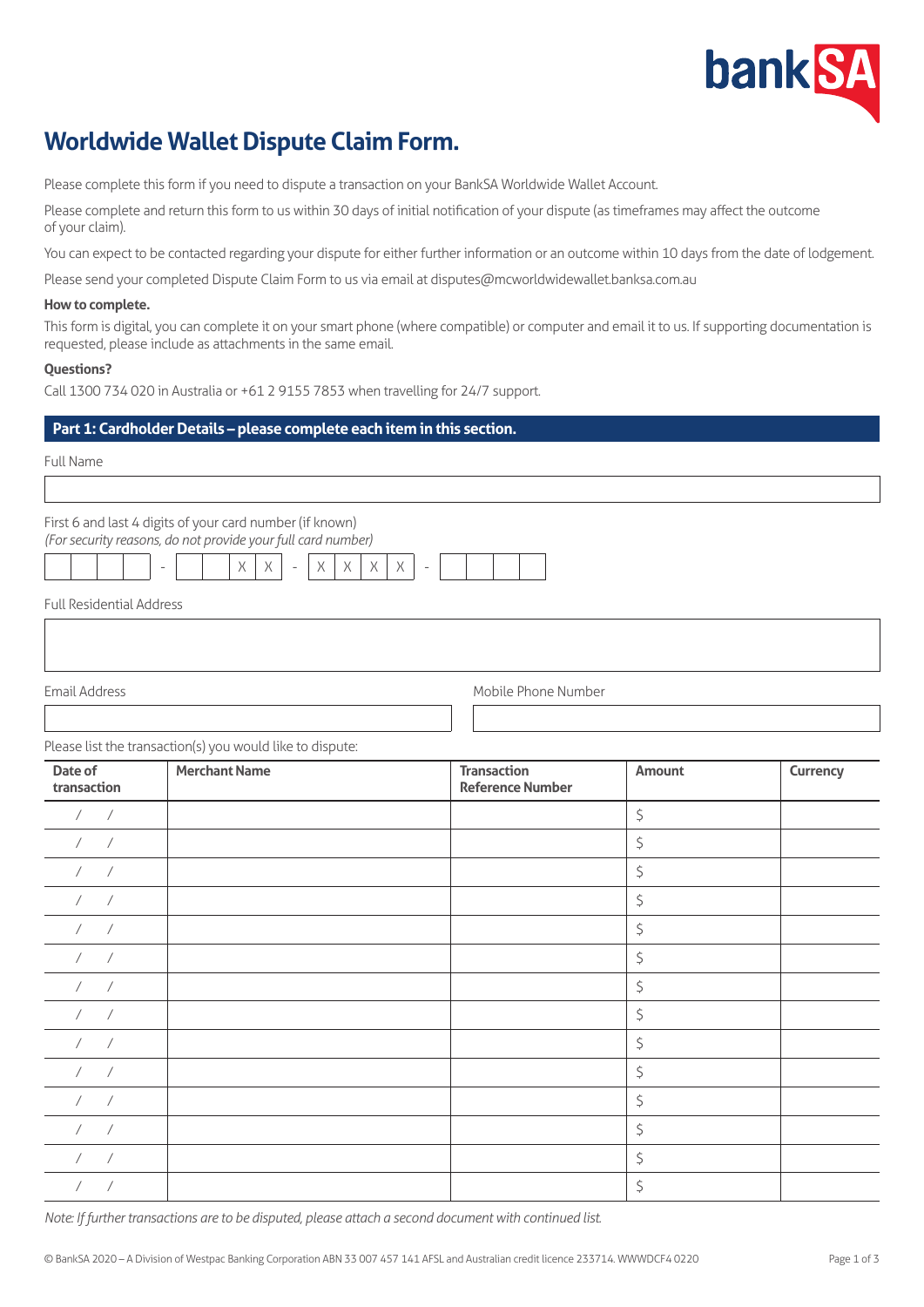

# **Worldwide Wallet Dispute Claim Form.**

Please complete this form if you need to dispute a transaction on your BankSA Worldwide Wallet Account.

Please complete and return this form to us within 30 days of initial notification of your dispute (as timeframes may affect the outcome of your claim).

You can expect to be contacted regarding your dispute for either further information or an outcome within 10 days from the date of lodgement.

Please send your completed Dispute Claim Form to us via email at disputes@mcworldwidewallet.banksa.com.au

## **How to complete.**

This form is digital, you can complete it on your smart phone (where compatible) or computer and email it to us. If supporting documentation is requested, please include as attachments in the same email.

#### **Questions?**

Call 1300 734 020 in Australia or +61 2 9155 7853 when travelling for 24/7 support.

## **Part 1: Cardholder Details – please complete each item in this section.**

| Full Name                              |                                                                                                                                                                                                                                                                                                    |                                               |                     |          |  |
|----------------------------------------|----------------------------------------------------------------------------------------------------------------------------------------------------------------------------------------------------------------------------------------------------------------------------------------------------|-----------------------------------------------|---------------------|----------|--|
|                                        |                                                                                                                                                                                                                                                                                                    |                                               |                     |          |  |
|                                        | First 6 and last 4 digits of your card number (if known)<br>(For security reasons, do not provide your full card number)<br>$\boldsymbol{\times}$<br>$\times$<br>$\times$<br>$\mathsf{X}% _{\mathsf{X}}^{\prime}=\mathsf{X}_{\mathsf{X}}^{\prime}$<br>$\chi$<br>$\sim$<br>$\overline{\phantom{a}}$ | $\chi$<br>$\sim$                              |                     |          |  |
|                                        |                                                                                                                                                                                                                                                                                                    |                                               |                     |          |  |
| <b>Full Residential Address</b>        |                                                                                                                                                                                                                                                                                                    |                                               |                     |          |  |
|                                        |                                                                                                                                                                                                                                                                                                    |                                               |                     |          |  |
| Email Address                          |                                                                                                                                                                                                                                                                                                    |                                               | Mobile Phone Number |          |  |
|                                        |                                                                                                                                                                                                                                                                                                    |                                               |                     |          |  |
|                                        | Please list the transaction(s) you would like to dispute:                                                                                                                                                                                                                                          |                                               |                     |          |  |
| Date of<br>transaction                 | <b>Merchant Name</b>                                                                                                                                                                                                                                                                               | <b>Transaction</b><br><b>Reference Number</b> | <b>Amount</b>       | Currency |  |
| $\sqrt{2}$<br>$\overline{ }$           |                                                                                                                                                                                                                                                                                                    |                                               | \$                  |          |  |
| $\sqrt{2}$<br>$\sqrt{2}$               |                                                                                                                                                                                                                                                                                                    |                                               | \$                  |          |  |
| $\overline{\phantom{a}}$<br>$\sqrt{2}$ |                                                                                                                                                                                                                                                                                                    |                                               | \$                  |          |  |
| $\sqrt{2}$<br>$\sqrt{2}$               |                                                                                                                                                                                                                                                                                                    |                                               | \$                  |          |  |
| $\overline{\phantom{a}}$<br>$\sqrt{2}$ |                                                                                                                                                                                                                                                                                                    |                                               | \$                  |          |  |
| $\overline{\phantom{a}}$<br>$\sqrt{2}$ |                                                                                                                                                                                                                                                                                                    |                                               | \$                  |          |  |
| $\sqrt{2}$<br>$\overline{ }$           |                                                                                                                                                                                                                                                                                                    |                                               | \$                  |          |  |
| $\sqrt{2}$<br>$\sqrt{2}$               |                                                                                                                                                                                                                                                                                                    |                                               | \$                  |          |  |
| $\sqrt{2}$<br>$\sqrt{2}$               |                                                                                                                                                                                                                                                                                                    |                                               | \$                  |          |  |
| $\sqrt{ }$<br>$\sqrt{2}$               |                                                                                                                                                                                                                                                                                                    |                                               | \$                  |          |  |
| $\sqrt{ }$<br>$\sqrt{2}$               |                                                                                                                                                                                                                                                                                                    |                                               | \$                  |          |  |
| $\sqrt{2}$<br>$\sqrt{2}$               |                                                                                                                                                                                                                                                                                                    |                                               | \$                  |          |  |
| $\overline{\phantom{a}}$<br>$\sqrt{2}$ |                                                                                                                                                                                                                                                                                                    |                                               | \$                  |          |  |
| $\overline{ }$<br>$\sqrt{ }$           |                                                                                                                                                                                                                                                                                                    |                                               | \$                  |          |  |

*Note: If further transactions are to be disputed, please attach a second document with continued list.*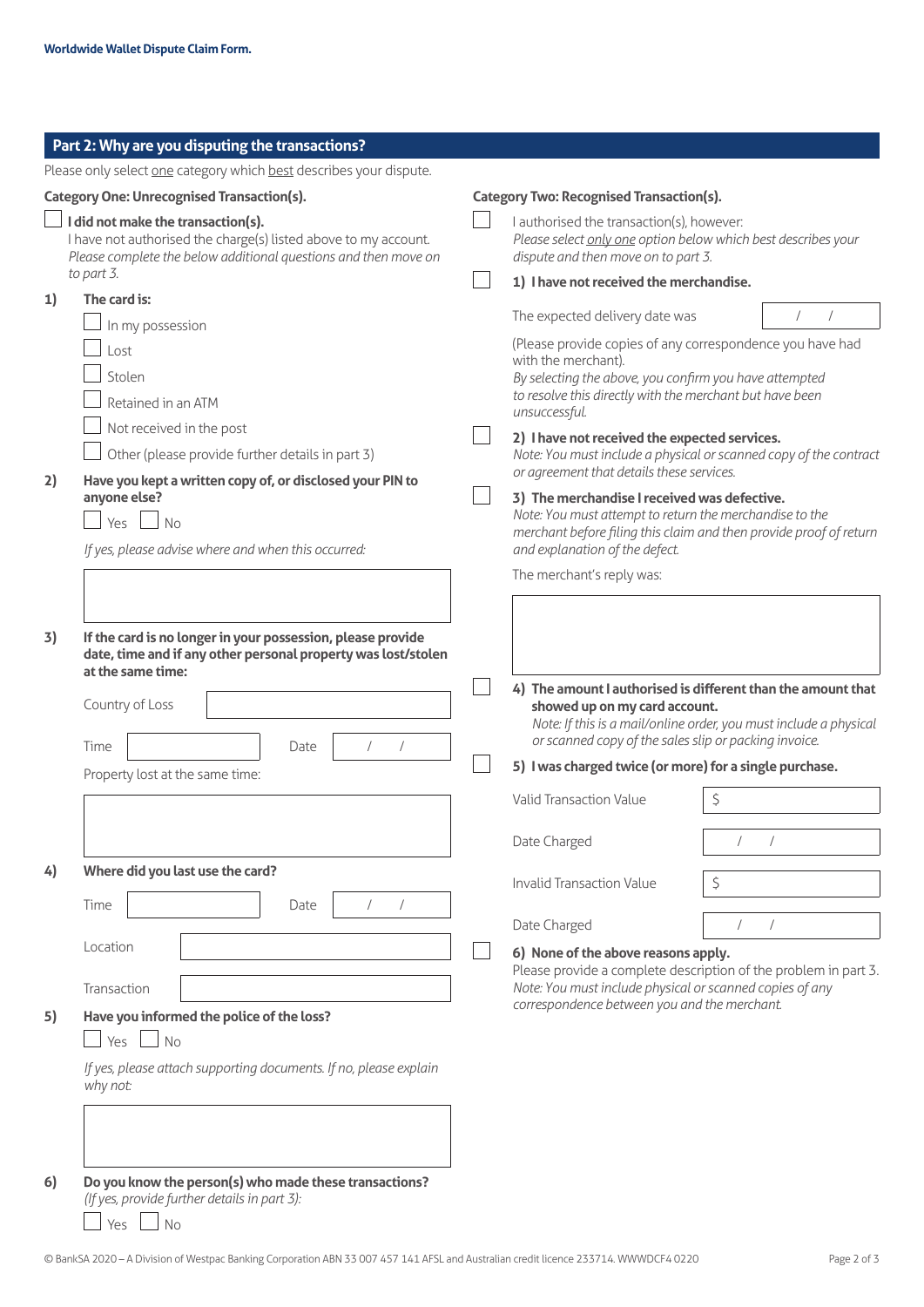| Part 2: Why are you disputing the transactions?                                                                                                                                                                             |                                                                                                                                                                                                                                                                                                                                                                                                                              |  |  |
|-----------------------------------------------------------------------------------------------------------------------------------------------------------------------------------------------------------------------------|------------------------------------------------------------------------------------------------------------------------------------------------------------------------------------------------------------------------------------------------------------------------------------------------------------------------------------------------------------------------------------------------------------------------------|--|--|
| Please only select one category which best describes your dispute.                                                                                                                                                          |                                                                                                                                                                                                                                                                                                                                                                                                                              |  |  |
| <b>Category One: Unrecognised Transaction(s).</b>                                                                                                                                                                           | <b>Category Two: Recognised Transaction(s).</b>                                                                                                                                                                                                                                                                                                                                                                              |  |  |
| I did not make the transaction(s).<br>I have not authorised the charge(s) listed above to my account.<br>Please complete the below additional questions and then move on<br>to part 3.                                      | I authorised the transaction(s), however:<br>Please select only one option below which best describes your<br>dispute and then move on to part 3.                                                                                                                                                                                                                                                                            |  |  |
| The card is:<br>1)                                                                                                                                                                                                          | 1) I have not received the merchandise.                                                                                                                                                                                                                                                                                                                                                                                      |  |  |
| In my possession<br>Lost<br>Stolen<br>Retained in an ATM<br>Not received in the post<br>Other (please provide further details in part 3)<br>2)<br>Have you kept a written copy of, or disclosed your PIN to<br>anyone else? | The expected delivery date was<br>(Please provide copies of any correspondence you have had<br>with the merchant).<br>By selecting the above, you confirm you have attempted<br>to resolve this directly with the merchant but have been<br>unsuccessful.<br>2) I have not received the expected services.<br>Note: You must include a physical or scanned copy of the contract<br>or agreement that details these services. |  |  |
| Yes  <br><b>No</b><br>If yes, please advise where and when this occurred:                                                                                                                                                   | 3) The merchandise I received was defective.<br>Note: You must attempt to return the merchandise to the<br>merchant before filing this claim and then provide proof of return<br>and explanation of the defect.                                                                                                                                                                                                              |  |  |
| If the card is no longer in your possession, please provide                                                                                                                                                                 | The merchant's reply was:                                                                                                                                                                                                                                                                                                                                                                                                    |  |  |
| 3)<br>date, time and if any other personal property was lost/stolen<br>at the same time:<br>Country of Loss<br>Time<br>Date<br>Property lost at the same time:                                                              | 4) The amount I authorised is different than the amount that<br>showed up on my card account.<br>Note: If this is a mail/online order, you must include a physical<br>or scanned copy of the sales slip or packing invoice.<br>5) I was charged twice (or more) for a single purchase.<br>\$<br>Valid Transaction Value<br>Date Charged                                                                                      |  |  |
| Where did you last use the card?<br>4)                                                                                                                                                                                      |                                                                                                                                                                                                                                                                                                                                                                                                                              |  |  |
| $\sqrt{2}$<br>$\sqrt{2}$<br>Time<br>Date<br>Location<br>Transaction<br>Have you informed the police of the loss?<br>5)<br>$Yes$ No<br>If yes, please attach supporting documents. If no, please explain<br>why not:         | \$<br><b>Invalid Transaction Value</b><br>Date Charged<br>6) None of the above reasons apply.<br>Please provide a complete description of the problem in part 3.<br>Note: You must include physical or scanned copies of any<br>correspondence between you and the merchant.                                                                                                                                                 |  |  |
| Do you know the person(s) who made these transactions?<br>6)                                                                                                                                                                |                                                                                                                                                                                                                                                                                                                                                                                                                              |  |  |

*(If yes, provide further details in part 3):*

Yes  $\Box$  No